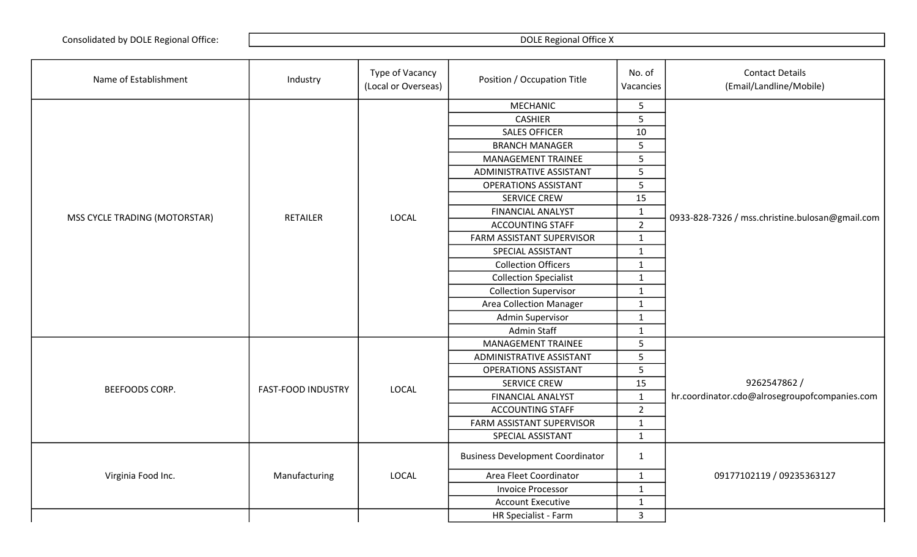| Name of Establishment         | Industry                  | Type of Vacancy<br>(Local or Overseas) | Position / Occupation Title             | No. of<br>Vacancies | <b>Contact Details</b><br>(Email/Landline/Mobile) |
|-------------------------------|---------------------------|----------------------------------------|-----------------------------------------|---------------------|---------------------------------------------------|
|                               |                           |                                        | <b>MECHANIC</b>                         | 5                   |                                                   |
|                               |                           |                                        | <b>CASHIER</b>                          | 5                   |                                                   |
|                               |                           |                                        | <b>SALES OFFICER</b>                    | 10                  |                                                   |
|                               |                           |                                        | <b>BRANCH MANAGER</b>                   | 5                   |                                                   |
|                               |                           |                                        | <b>MANAGEMENT TRAINEE</b>               | 5                   |                                                   |
|                               |                           |                                        | ADMINISTRATIVE ASSISTANT                | 5                   |                                                   |
|                               |                           |                                        | <b>OPERATIONS ASSISTANT</b>             | 5                   |                                                   |
|                               |                           |                                        | <b>SERVICE CREW</b>                     | 15                  |                                                   |
| MSS CYCLE TRADING (MOTORSTAR) | <b>RETAILER</b>           | <b>LOCAL</b>                           | <b>FINANCIAL ANALYST</b>                | $\mathbf 1$         | 0933-828-7326 / mss.christine.bulosan@gmail.com   |
|                               |                           |                                        | <b>ACCOUNTING STAFF</b>                 | $\overline{2}$      |                                                   |
|                               |                           |                                        | FARM ASSISTANT SUPERVISOR               | $\mathbf{1}$        |                                                   |
|                               |                           |                                        | SPECIAL ASSISTANT                       | $\mathbf{1}$        |                                                   |
|                               |                           |                                        | <b>Collection Officers</b>              | $\mathbf{1}$        |                                                   |
|                               |                           |                                        | <b>Collection Specialist</b>            | $\mathbf{1}$        |                                                   |
|                               |                           |                                        | <b>Collection Supervisor</b>            | $\mathbf{1}$        |                                                   |
|                               |                           |                                        | <b>Area Collection Manager</b>          | $\mathbf{1}$        |                                                   |
|                               |                           |                                        | <b>Admin Supervisor</b>                 | $\mathbf{1}$        |                                                   |
|                               |                           |                                        | Admin Staff                             | $\mathbf{1}$        |                                                   |
|                               |                           |                                        | MANAGEMENT TRAINEE                      | 5                   |                                                   |
|                               |                           |                                        | ADMINISTRATIVE ASSISTANT                | 5                   |                                                   |
|                               |                           |                                        | <b>OPERATIONS ASSISTANT</b>             | 5                   |                                                   |
| BEEFOODS CORP.                | <b>FAST-FOOD INDUSTRY</b> | LOCAL                                  | <b>SERVICE CREW</b>                     | 15                  | 9262547862 /                                      |
|                               |                           |                                        | <b>FINANCIAL ANALYST</b>                | $\mathbf{1}$        | hr.coordinator.cdo@alrosegroupofcompanies.com     |
|                               |                           |                                        | <b>ACCOUNTING STAFF</b>                 | $\overline{2}$      |                                                   |
|                               |                           |                                        | FARM ASSISTANT SUPERVISOR               | $\mathbf{1}$        |                                                   |
|                               |                           |                                        | SPECIAL ASSISTANT                       | $\mathbf{1}$        |                                                   |
|                               |                           |                                        | <b>Business Development Coordinator</b> | $\mathbf{1}$        |                                                   |
| Virginia Food Inc.            | Manufacturing             | <b>LOCAL</b>                           | Area Fleet Coordinator                  | $\mathbf{1}$        | 09177102119 / 09235363127                         |
|                               |                           |                                        | <b>Invoice Processor</b>                | $\mathbf{1}$        |                                                   |
|                               |                           |                                        | <b>Account Executive</b>                | $\mathbf{1}$        |                                                   |
|                               |                           |                                        | HR Specialist - Farm                    | $\mathbf{3}$        |                                                   |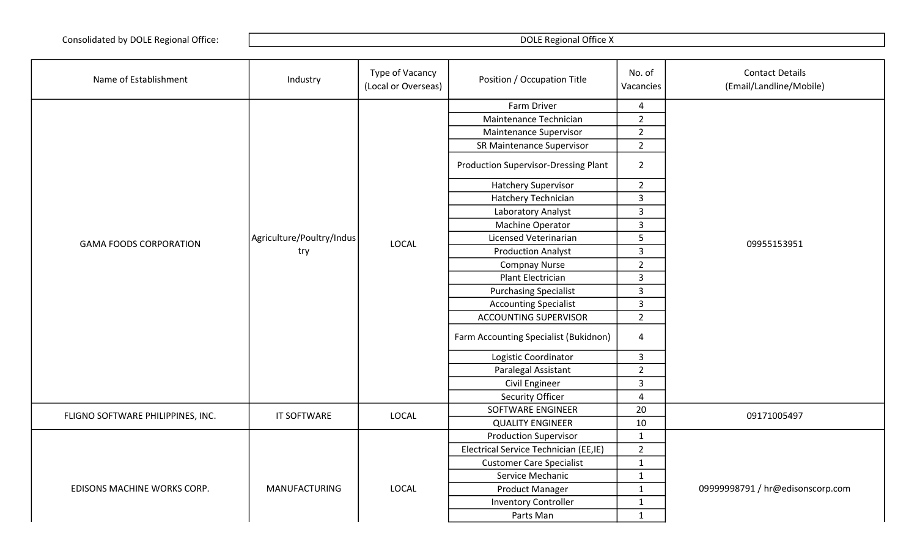| Name of Establishment             | Industry                  | Type of Vacancy<br>(Local or Overseas) | Position / Occupation Title                 | No. of<br>Vacancies     | <b>Contact Details</b><br>(Email/Landline/Mobile) |
|-----------------------------------|---------------------------|----------------------------------------|---------------------------------------------|-------------------------|---------------------------------------------------|
|                                   |                           |                                        | Farm Driver                                 | $\overline{4}$          |                                                   |
|                                   |                           |                                        | Maintenance Technician                      | $\overline{2}$          |                                                   |
|                                   |                           |                                        | Maintenance Supervisor                      | $\overline{2}$          |                                                   |
|                                   |                           |                                        | SR Maintenance Supervisor                   | $\overline{2}$          |                                                   |
|                                   |                           |                                        | <b>Production Supervisor-Dressing Plant</b> | $\overline{2}$          |                                                   |
|                                   |                           |                                        | <b>Hatchery Supervisor</b>                  | $2^{\circ}$             |                                                   |
|                                   |                           |                                        | Hatchery Technician                         | $\overline{3}$          |                                                   |
|                                   |                           |                                        | Laboratory Analyst                          | $\overline{3}$          |                                                   |
|                                   |                           |                                        | Machine Operator                            | $\overline{3}$          |                                                   |
| <b>GAMA FOODS CORPORATION</b>     | Agriculture/Poultry/Indus | <b>LOCAL</b>                           | Licensed Veterinarian                       | 5                       | 09955153951                                       |
|                                   | try                       |                                        | <b>Production Analyst</b>                   | $\overline{3}$          |                                                   |
|                                   |                           |                                        | <b>Compnay Nurse</b>                        | $\overline{2}$          |                                                   |
|                                   |                           |                                        | Plant Electrician                           | $\mathsf{3}$            |                                                   |
|                                   |                           |                                        | <b>Purchasing Specialist</b>                | $\overline{3}$          |                                                   |
|                                   |                           |                                        | <b>Accounting Specialist</b>                | 3                       |                                                   |
|                                   |                           |                                        | <b>ACCOUNTING SUPERVISOR</b>                | $\overline{2}$          |                                                   |
|                                   |                           |                                        | Farm Accounting Specialist (Bukidnon)       | $\overline{a}$          |                                                   |
|                                   |                           |                                        | Logistic Coordinator                        | 3                       |                                                   |
|                                   |                           |                                        | Paralegal Assistant                         | $\overline{2}$          |                                                   |
|                                   |                           |                                        | Civil Engineer                              | $\mathsf{3}$            |                                                   |
|                                   |                           |                                        | <b>Security Officer</b>                     | $\overline{\mathbf{4}}$ |                                                   |
| FLIGNO SOFTWARE PHILIPPINES, INC. | <b>IT SOFTWARE</b>        | LOCAL                                  | SOFTWARE ENGINEER                           | 20                      | 09171005497                                       |
|                                   |                           |                                        | <b>QUALITY ENGINEER</b>                     | 10                      |                                                   |
|                                   |                           |                                        | <b>Production Supervisor</b>                | $\mathbf 1$             |                                                   |
|                                   |                           |                                        | Electrical Service Technician (EE,IE)       | $\overline{2}$          |                                                   |
|                                   |                           |                                        | <b>Customer Care Specialist</b>             | $\mathbf{1}$            |                                                   |
|                                   |                           |                                        | Service Mechanic                            | $\mathbf{1}$            |                                                   |
| EDISONS MACHINE WORKS CORP.       | <b>MANUFACTURING</b>      | <b>LOCAL</b>                           | Product Manager                             | $\mathbf{1}$            | 09999998791 / hr@edisonscorp.com                  |
|                                   |                           |                                        | <b>Inventory Controller</b>                 | $\mathbf 1$             |                                                   |
|                                   |                           |                                        | Parts Man                                   | $\mathbf{1}$            |                                                   |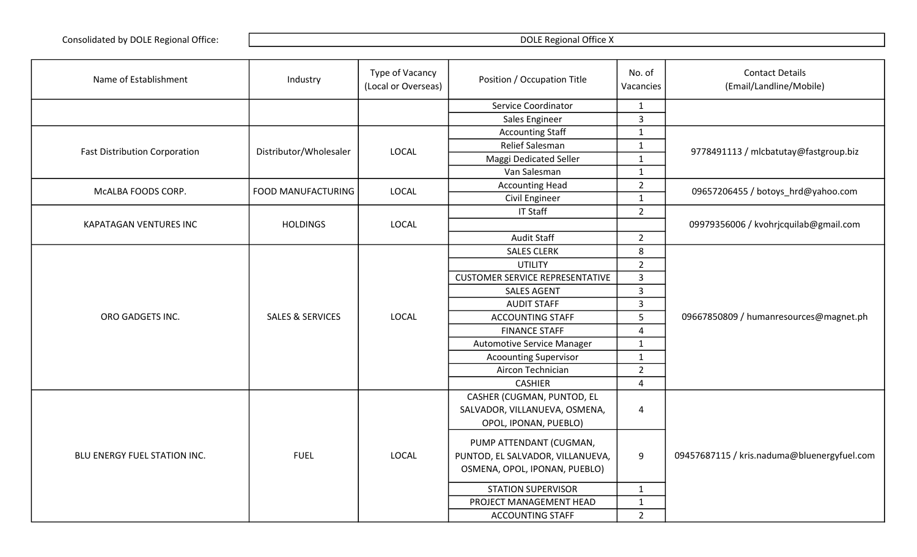| Name of Establishment                | Industry                    | Type of Vacancy<br>(Local or Overseas) | Position / Occupation Title                                 | No. of<br>Vacancies | <b>Contact Details</b><br>(Email/Landline/Mobile) |
|--------------------------------------|-----------------------------|----------------------------------------|-------------------------------------------------------------|---------------------|---------------------------------------------------|
|                                      |                             |                                        | Service Coordinator                                         | $\mathbf{1}$        |                                                   |
|                                      |                             |                                        | Sales Engineer                                              | $\overline{3}$      |                                                   |
|                                      |                             |                                        | <b>Accounting Staff</b>                                     | $\mathbf{1}$        |                                                   |
|                                      |                             | <b>LOCAL</b>                           | Relief Salesman                                             | $\mathbf{1}$        |                                                   |
| <b>Fast Distribution Corporation</b> | Distributor/Wholesaler      |                                        | Maggi Dedicated Seller                                      | $\mathbf{1}$        | 9778491113 / mlcbatutay@fastgroup.biz             |
|                                      |                             |                                        | Van Salesman                                                | $\mathbf{1}$        |                                                   |
| McALBA FOODS CORP.                   | FOOD MANUFACTURING          | <b>LOCAL</b>                           | <b>Accounting Head</b>                                      | $\overline{2}$      |                                                   |
|                                      |                             |                                        | Civil Engineer                                              | $\mathbf{1}$        | 09657206455 / botoys_hrd@yahoo.com                |
|                                      |                             |                                        | <b>IT Staff</b>                                             | $\overline{2}$      |                                                   |
| KAPATAGAN VENTURES INC               | <b>HOLDINGS</b>             | LOCAL                                  |                                                             |                     | 09979356006 / kvohrjcquilab@gmail.com             |
|                                      |                             |                                        | <b>Audit Staff</b>                                          | $\overline{2}$      |                                                   |
|                                      |                             |                                        | <b>SALES CLERK</b>                                          | 8                   |                                                   |
|                                      |                             | <b>LOCAL</b>                           | <b>UTILITY</b>                                              | $\overline{2}$      |                                                   |
|                                      |                             |                                        | <b>CUSTOMER SERVICE REPRESENTATIVE</b>                      | $\overline{3}$      |                                                   |
|                                      |                             |                                        | <b>SALES AGENT</b>                                          | $\overline{3}$      |                                                   |
|                                      |                             |                                        | <b>AUDIT STAFF</b>                                          | $\overline{3}$      |                                                   |
| ORO GADGETS INC.                     | <b>SALES &amp; SERVICES</b> |                                        | <b>ACCOUNTING STAFF</b>                                     | 5                   | 09667850809 / humanresources@magnet.ph            |
|                                      |                             |                                        | <b>FINANCE STAFF</b>                                        | $\overline{4}$      |                                                   |
|                                      |                             |                                        | <b>Automotive Service Manager</b>                           | $\mathbf{1}$        |                                                   |
|                                      |                             |                                        | <b>Acoounting Supervisor</b>                                | $\mathbf{1}$        |                                                   |
|                                      |                             |                                        | Aircon Technician                                           | $\overline{2}$      |                                                   |
|                                      |                             |                                        | <b>CASHIER</b>                                              | $\overline{4}$      |                                                   |
|                                      |                             |                                        | CASHER (CUGMAN, PUNTOD, EL                                  |                     |                                                   |
|                                      |                             |                                        | SALVADOR, VILLANUEVA, OSMENA,                               | $\sqrt{4}$          |                                                   |
|                                      |                             |                                        | OPOL, IPONAN, PUEBLO)                                       |                     |                                                   |
| BLU ENERGY FUEL STATION INC.         | <b>FUEL</b>                 | LOCAL                                  | PUMP ATTENDANT (CUGMAN,<br>PUNTOD, EL SALVADOR, VILLANUEVA, | $9\,$               | 09457687115 / kris.naduma@bluenergyfuel.com       |
|                                      |                             |                                        | OSMENA, OPOL, IPONAN, PUEBLO)                               |                     |                                                   |
|                                      |                             |                                        | <b>STATION SUPERVISOR</b>                                   | $\mathbf{1}$        |                                                   |
|                                      |                             |                                        | PROJECT MANAGEMENT HEAD                                     | $\mathbf 1$         |                                                   |
|                                      |                             |                                        | <b>ACCOUNTING STAFF</b>                                     | $\overline{2}$      |                                                   |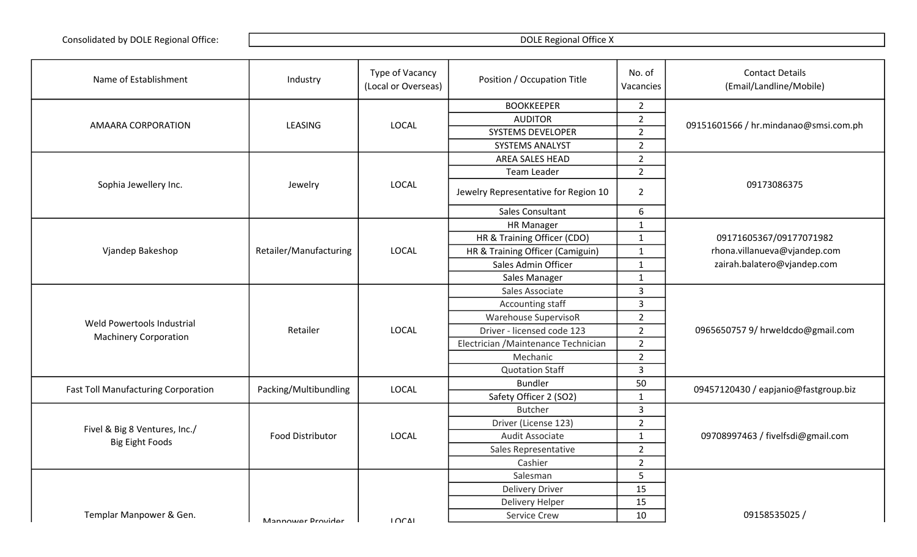| Name of Establishment                      | Industry               | Type of Vacancy<br>(Local or Overseas) | Position / Occupation Title          | No. of<br>Vacancies | <b>Contact Details</b><br>(Email/Landline/Mobile) |
|--------------------------------------------|------------------------|----------------------------------------|--------------------------------------|---------------------|---------------------------------------------------|
|                                            |                        |                                        | <b>BOOKKEEPER</b>                    | $\overline{2}$      |                                                   |
|                                            | LEASING                | <b>LOCAL</b>                           | <b>AUDITOR</b>                       | $\overline{2}$      |                                                   |
| AMAARA CORPORATION                         |                        |                                        | <b>SYSTEMS DEVELOPER</b>             | $\overline{2}$      | 09151601566 / hr.mindanao@smsi.com.ph             |
|                                            |                        |                                        | SYSTEMS ANALYST                      | $\overline{2}$      |                                                   |
|                                            |                        |                                        | AREA SALES HEAD                      | $\overline{2}$      |                                                   |
|                                            |                        |                                        | <b>Team Leader</b>                   | $\overline{2}$      |                                                   |
| Sophia Jewellery Inc.                      | Jewelry                | <b>LOCAL</b>                           | Jewelry Representative for Region 10 | $\overline{2}$      | 09173086375                                       |
|                                            |                        |                                        | Sales Consultant                     | 6                   |                                                   |
|                                            |                        |                                        | <b>HR Manager</b>                    | $\mathbf{1}$        |                                                   |
|                                            |                        |                                        | HR & Training Officer (CDO)          | $\mathbf{1}$        | 09171605367/09177071982                           |
| Vjandep Bakeshop                           | Retailer/Manufacturing | <b>LOCAL</b>                           | HR & Training Officer (Camiguin)     | $\mathbf{1}$        | rhona.villanueva@vjandep.com                      |
|                                            |                        |                                        | Sales Admin Officer                  | $\mathbf{1}$        | zairah.balatero@vjandep.com                       |
|                                            |                        |                                        | Sales Manager                        | $\mathbf{1}$        |                                                   |
|                                            |                        |                                        | Sales Associate                      | $\overline{3}$      |                                                   |
|                                            |                        |                                        | Accounting staff                     | $\overline{3}$      |                                                   |
| Weld Powertools Industrial                 |                        |                                        | <b>Warehouse SupervisoR</b>          | $\overline{2}$      |                                                   |
| <b>Machinery Corporation</b>               | Retailer               | <b>LOCAL</b>                           | Driver - licensed code 123           | $\overline{2}$      | 0965650757 9/ hrweldcdo@gmail.com                 |
|                                            |                        |                                        | Electrician / Maintenance Technician | $\overline{2}$      |                                                   |
|                                            |                        |                                        | Mechanic                             | $\overline{2}$      |                                                   |
|                                            |                        |                                        | <b>Quotation Staff</b>               | $\overline{3}$      |                                                   |
| <b>Fast Toll Manufacturing Corporation</b> | Packing/Multibundling  | <b>LOCAL</b>                           | <b>Bundler</b>                       | 50                  | 09457120430 / eapjanio@fastgroup.biz              |
|                                            |                        |                                        | Safety Officer 2 (SO2)               | $\mathbf{1}$        |                                                   |
|                                            |                        |                                        | <b>Butcher</b>                       | $\overline{3}$      |                                                   |
| Fivel & Big 8 Ventures, Inc./              |                        |                                        | Driver (License 123)                 | $\overline{2}$      |                                                   |
| <b>Big Eight Foods</b>                     | Food Distributor       | <b>LOCAL</b>                           | Audit Associate                      | $\mathbf{1}$        | 09708997463 / fivelfsdi@gmail.com                 |
|                                            |                        |                                        | Sales Representative                 | $\overline{2}$      |                                                   |
|                                            |                        |                                        | Cashier                              | $\overline{2}$      |                                                   |
|                                            |                        |                                        | Salesman                             | 5                   |                                                   |
|                                            |                        |                                        | <b>Delivery Driver</b>               | 15                  |                                                   |
|                                            |                        |                                        | Delivery Helper                      | 15                  |                                                   |
| Templar Manpower & Gen.                    | Mannower Drovider      | 1001                                   | Service Crew                         | 10                  | 09158535025/                                      |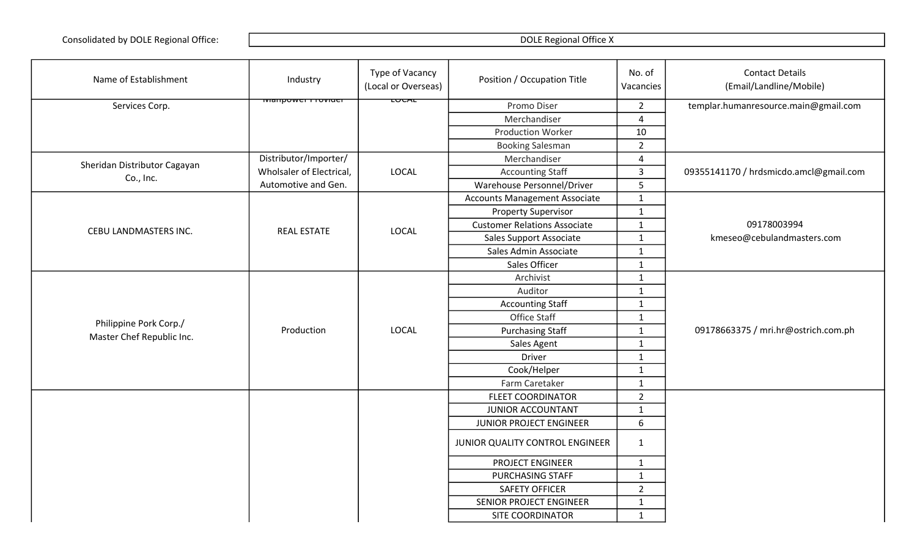| Name of Establishment        | Industry                        | Type of Vacancy<br>(Local or Overseas) | Position / Occupation Title          | No. of<br>Vacancies | <b>Contact Details</b><br>(Email/Landline/Mobile) |
|------------------------------|---------------------------------|----------------------------------------|--------------------------------------|---------------------|---------------------------------------------------|
| Services Corp.               | <del>iviaripower rioviuei</del> | ᡗᠸ᠋ᠧᠵᡅ                                 | Promo Diser                          | $2^{\circ}$         | templar.humanresource.main@gmail.com              |
|                              |                                 |                                        | Merchandiser                         | 4                   |                                                   |
|                              |                                 |                                        | <b>Production Worker</b>             | 10                  |                                                   |
|                              |                                 |                                        | <b>Booking Salesman</b>              | $\overline{2}$      |                                                   |
| Sheridan Distributor Cagayan | Distributor/Importer/           |                                        | Merchandiser                         | 4                   |                                                   |
| Co., Inc.                    | Wholsaler of Electrical,        | <b>LOCAL</b>                           | <b>Accounting Staff</b>              | $\overline{3}$      | 09355141170 / hrdsmicdo.amcl@gmail.com            |
|                              | Automotive and Gen.             |                                        | Warehouse Personnel/Driver           | 5                   |                                                   |
|                              |                                 |                                        | <b>Accounts Management Associate</b> | $\mathbf{1}$        |                                                   |
|                              |                                 |                                        | <b>Property Supervisor</b>           | $\mathbf 1$         |                                                   |
| CEBU LANDMASTERS INC.        | <b>REAL ESTATE</b>              | <b>LOCAL</b>                           | <b>Customer Relations Associate</b>  | $\mathbf{1}$        | 09178003994                                       |
|                              |                                 |                                        | Sales Support Associate              | $\mathbf{1}$        | kmeseo@cebulandmasters.com                        |
|                              |                                 |                                        | Sales Admin Associate                | $\mathbf{1}$        |                                                   |
|                              |                                 |                                        | Sales Officer                        | $\mathbf{1}$        |                                                   |
|                              |                                 |                                        | Archivist                            | $\mathbf{1}$        |                                                   |
|                              |                                 |                                        | Auditor                              | $\mathbf{1}$        |                                                   |
|                              |                                 |                                        | <b>Accounting Staff</b>              | $\mathbf{1}$        |                                                   |
| Philippine Pork Corp./       |                                 |                                        | Office Staff                         | $\mathbf 1$         |                                                   |
| Master Chef Republic Inc.    | Production                      | <b>LOCAL</b>                           | <b>Purchasing Staff</b>              | $\mathbf{1}$        | 09178663375 / mri.hr@ostrich.com.ph               |
|                              |                                 |                                        | Sales Agent                          | $\mathbf{1}$        |                                                   |
|                              |                                 |                                        | Driver                               | $\mathbf{1}$        |                                                   |
|                              |                                 |                                        | Cook/Helper                          | $\mathbf{1}$        |                                                   |
|                              |                                 |                                        | Farm Caretaker                       | $\mathbf 1$         |                                                   |
|                              |                                 |                                        | <b>FLEET COORDINATOR</b>             | $\overline{2}$      |                                                   |
|                              |                                 |                                        | JUNIOR ACCOUNTANT                    | $\mathbf{1}$        |                                                   |
|                              |                                 |                                        | JUNIOR PROJECT ENGINEER              | 6                   |                                                   |
|                              |                                 |                                        | JUNIOR QUALITY CONTROL ENGINEER      | $\mathbf{1}$        |                                                   |
|                              |                                 |                                        | PROJECT ENGINEER                     | $\mathbf{1}$        |                                                   |
|                              |                                 |                                        | PURCHASING STAFF                     | $\mathbf{1}$        |                                                   |
|                              |                                 |                                        | <b>SAFETY OFFICER</b>                | $\overline{2}$      |                                                   |
|                              |                                 |                                        | SENIOR PROJECT ENGINEER              | $\mathbf{1}$        |                                                   |
|                              |                                 |                                        | <b>SITE COORDINATOR</b>              | $\mathbf{1}$        |                                                   |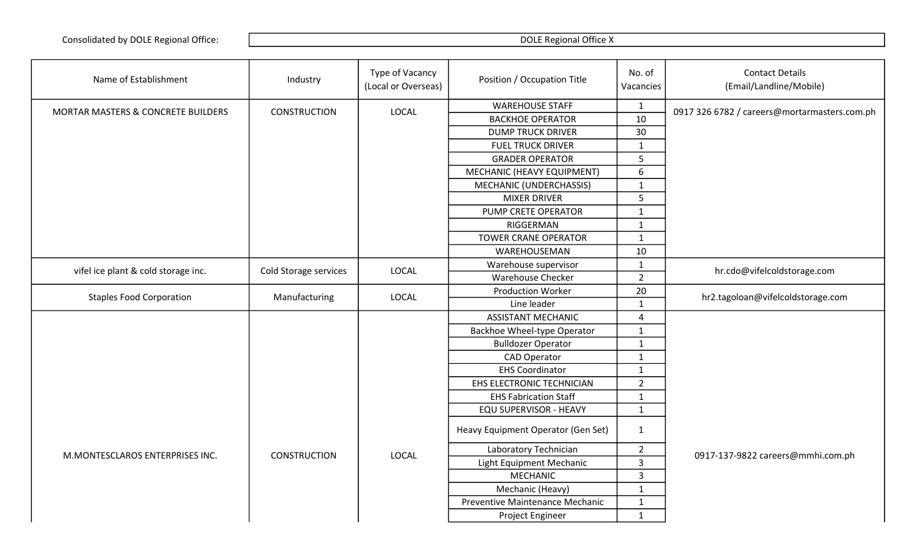| Name of Establishment                         | Industry              | Type of Vacancy<br>(Local or Overseas) | Position / Occupation Title        | No. of<br>Vacancies     | <b>Contact Details</b><br>(Email/Landline/Mobile) |
|-----------------------------------------------|-----------------------|----------------------------------------|------------------------------------|-------------------------|---------------------------------------------------|
| <b>MORTAR MASTERS &amp; CONCRETE BUILDERS</b> | <b>CONSTRUCTION</b>   | <b>LOCAL</b>                           | <b>WAREHOUSE STAFF</b>             | $\mathbf{1}$            | 0917 326 6782 / careers@mortarmasters.com.ph      |
|                                               |                       |                                        | <b>BACKHOE OPERATOR</b>            | 10                      |                                                   |
|                                               |                       |                                        | <b>DUMP TRUCK DRIVER</b>           | 30                      |                                                   |
|                                               |                       |                                        | <b>FUEL TRUCK DRIVER</b>           | $\mathbf{1}$            |                                                   |
|                                               |                       |                                        | <b>GRADER OPERATOR</b>             | 5                       |                                                   |
|                                               |                       |                                        | MECHANIC (HEAVY EQUIPMENT)         | 6                       |                                                   |
|                                               |                       |                                        | MECHANIC (UNDERCHASSIS)            | $\mathbf{1}$            |                                                   |
|                                               |                       |                                        | <b>MIXER DRIVER</b>                | 5                       |                                                   |
|                                               |                       |                                        | PUMP CRETE OPERATOR                | $\mathbf{1}$            |                                                   |
|                                               |                       |                                        | RIGGERMAN                          | $\mathbf{1}$            |                                                   |
|                                               |                       |                                        | <b>TOWER CRANE OPERATOR</b>        | $\mathbf{1}$            |                                                   |
|                                               |                       |                                        | WAREHOUSEMAN                       | 10                      |                                                   |
| vifel ice plant & cold storage inc.           | Cold Storage services | LOCAL                                  | Warehouse supervisor               | $\mathbf{1}$            | hr.cdo@vifelcoldstorage.com                       |
|                                               |                       |                                        | Warehouse Checker                  | $\overline{2}$          |                                                   |
| <b>Staples Food Corporation</b>               | Manufacturing         | <b>LOCAL</b>                           | <b>Production Worker</b>           | 20                      | hr2.tagoloan@vifelcoldstorage.com                 |
|                                               |                       |                                        | Line leader                        | $\mathbf{1}$            |                                                   |
|                                               |                       |                                        | <b>ASSISTANT MECHANIC</b>          | $\overline{\mathbf{4}}$ |                                                   |
|                                               |                       |                                        | Backhoe Wheel-type Operator        | $\mathbf{1}$            |                                                   |
|                                               |                       |                                        | <b>Bulldozer Operator</b>          | $\mathbf 1$             |                                                   |
|                                               |                       |                                        | <b>CAD Operator</b>                | $\mathbf{1}$            |                                                   |
|                                               |                       |                                        | <b>EHS Coordinator</b>             | $\mathbf{1}$            |                                                   |
|                                               |                       |                                        | EHS ELECTRONIC TECHNICIAN          | $\overline{2}$          |                                                   |
|                                               |                       |                                        | <b>EHS Fabrication Staff</b>       | $\mathbf{1}$            |                                                   |
|                                               |                       |                                        | EQU SUPERVISOR - HEAVY             | $\mathbf{1}$            |                                                   |
|                                               |                       |                                        | Heavy Equipment Operator (Gen Set) | $\mathbf{1}$            |                                                   |
|                                               |                       |                                        | Laboratory Technician              | $\overline{2}$          |                                                   |
| M.MONTESCLAROS ENTERPRISES INC.               | <b>CONSTRUCTION</b>   | <b>LOCAL</b>                           | Light Equipment Mechanic           | $\mathsf{3}$            | 0917-137-9822 careers@mmhi.com.ph                 |
|                                               |                       |                                        | <b>MECHANIC</b>                    | $\overline{3}$          |                                                   |
|                                               |                       |                                        | Mechanic (Heavy)                   | $\mathbf{1}$            |                                                   |
|                                               |                       |                                        | Preventive Maintenance Mechanic    | $\mathbf{1}$            |                                                   |
|                                               |                       |                                        | Project Engineer                   | $\mathbf{1}$            |                                                   |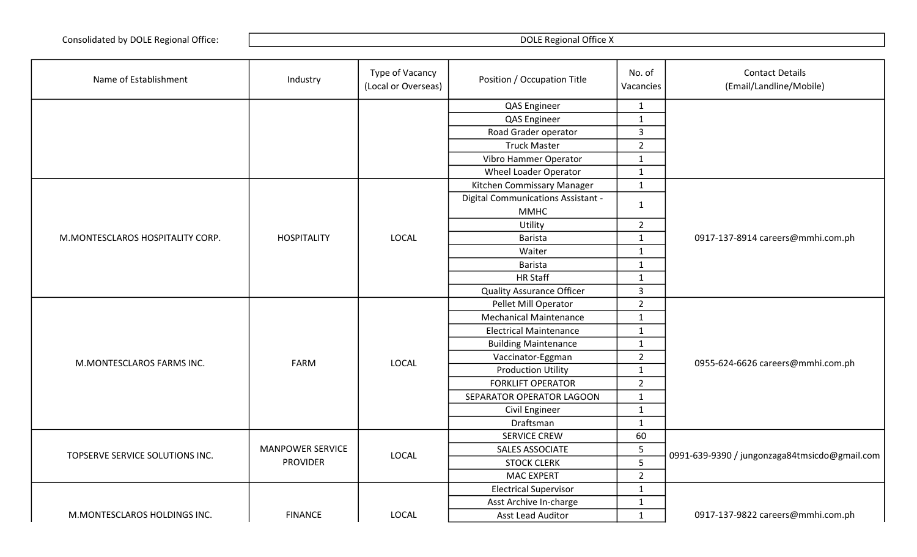| Name of Establishment            | Industry                | Type of Vacancy<br>(Local or Overseas) | Position / Occupation Title        | No. of<br>Vacancies | <b>Contact Details</b><br>(Email/Landline/Mobile) |
|----------------------------------|-------------------------|----------------------------------------|------------------------------------|---------------------|---------------------------------------------------|
|                                  |                         |                                        | QAS Engineer                       | $\mathbf{1}$        |                                                   |
|                                  |                         |                                        | QAS Engineer                       | $\mathbf{1}$        |                                                   |
|                                  |                         |                                        | Road Grader operator               | $\overline{3}$      |                                                   |
|                                  |                         |                                        | <b>Truck Master</b>                | $\overline{2}$      |                                                   |
|                                  |                         |                                        | Vibro Hammer Operator              | $\mathbf{1}$        |                                                   |
|                                  |                         |                                        | <b>Wheel Loader Operator</b>       | $\mathbf{1}$        |                                                   |
|                                  |                         |                                        | Kitchen Commissary Manager         | $\mathbf{1}$        |                                                   |
|                                  |                         |                                        | Digital Communications Assistant - |                     |                                                   |
|                                  |                         |                                        | <b>MMHC</b>                        | $\mathbf{1}$        |                                                   |
|                                  |                         |                                        | Utility                            | $\overline{2}$      |                                                   |
| M.MONTESCLAROS HOSPITALITY CORP. | <b>HOSPITALITY</b>      | <b>LOCAL</b>                           | Barista                            | $\mathbf{1}$        | 0917-137-8914 careers@mmhi.com.ph                 |
|                                  |                         |                                        | Waiter                             | $\mathbf{1}$        |                                                   |
|                                  |                         |                                        | Barista                            | $\mathbf{1}$        |                                                   |
|                                  |                         |                                        | <b>HR Staff</b>                    | $\mathbf{1}$        |                                                   |
|                                  |                         |                                        | <b>Quality Assurance Officer</b>   | $\overline{3}$      |                                                   |
|                                  |                         |                                        | Pellet Mill Operator               | $\overline{2}$      |                                                   |
|                                  |                         |                                        | <b>Mechanical Maintenance</b>      | $\mathbf{1}$        |                                                   |
|                                  |                         |                                        | <b>Electrical Maintenance</b>      | $\mathbf 1$         |                                                   |
|                                  |                         |                                        | <b>Building Maintenance</b>        | $\mathbf{1}$        |                                                   |
| M.MONTESCLAROS FARMS INC.        | <b>FARM</b>             | <b>LOCAL</b>                           | Vaccinator-Eggman                  | $\overline{2}$      |                                                   |
|                                  |                         |                                        | <b>Production Utility</b>          | $\mathbf{1}$        | 0955-624-6626 careers@mmhi.com.ph                 |
|                                  |                         |                                        | <b>FORKLIFT OPERATOR</b>           | $\overline{2}$      |                                                   |
|                                  |                         |                                        | SEPARATOR OPERATOR LAGOON          | $\mathbf{1}$        |                                                   |
|                                  |                         |                                        | Civil Engineer                     | $\mathbf{1}$        |                                                   |
|                                  |                         |                                        | Draftsman                          | $\mathbf{1}$        |                                                   |
|                                  |                         |                                        | <b>SERVICE CREW</b>                | 60                  |                                                   |
|                                  | <b>MANPOWER SERVICE</b> | LOCAL                                  | SALES ASSOCIATE                    | 5                   |                                                   |
| TOPSERVE SERVICE SOLUTIONS INC.  | <b>PROVIDER</b>         |                                        | <b>STOCK CLERK</b>                 | 5                   | 0991-639-9390 / jungonzaga84tmsicdo@gmail.com     |
|                                  |                         |                                        | <b>MAC EXPERT</b>                  | $\overline{2}$      |                                                   |
|                                  |                         |                                        | <b>Electrical Supervisor</b>       | $\mathbf{1}$        |                                                   |
|                                  |                         |                                        | Asst Archive In-charge             | $\mathbf 1$         |                                                   |
| M.MONTESCLAROS HOLDINGS INC.     | <b>FINANCE</b>          | LOCAL                                  | <b>Asst Lead Auditor</b>           | $\mathbf{1}$        | 0917-137-9822 careers@mmhi.com.ph                 |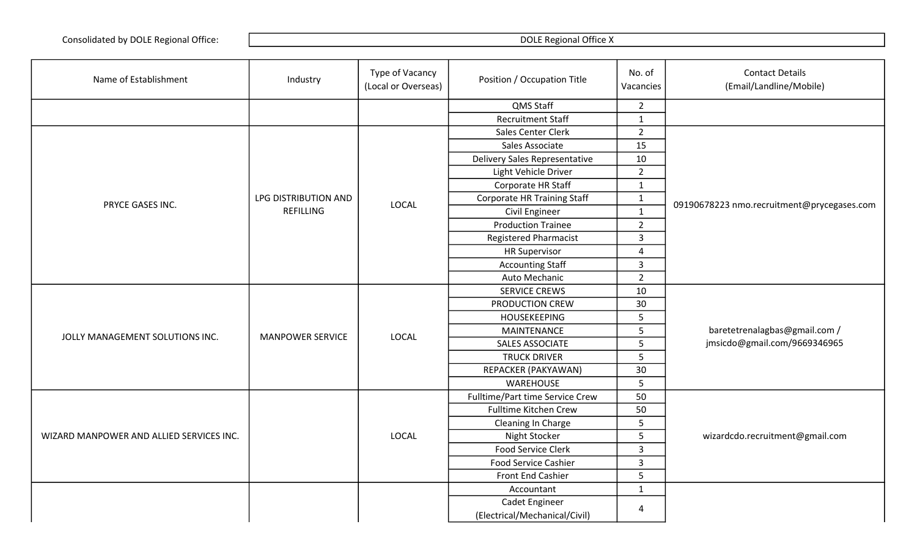| Name of Establishment                    | Industry                | Type of Vacancy<br>(Local or Overseas) | Position / Occupation Title        | No. of<br>Vacancies | <b>Contact Details</b><br>(Email/Landline/Mobile)             |
|------------------------------------------|-------------------------|----------------------------------------|------------------------------------|---------------------|---------------------------------------------------------------|
|                                          |                         |                                        | QMS Staff                          | $\overline{2}$      |                                                               |
|                                          |                         |                                        | <b>Recruitment Staff</b>           | $\mathbf{1}$        |                                                               |
|                                          |                         |                                        | Sales Center Clerk                 | $\overline{2}$      |                                                               |
|                                          |                         |                                        | Sales Associate                    | 15                  |                                                               |
|                                          |                         |                                        | Delivery Sales Representative      | 10                  |                                                               |
|                                          |                         |                                        | Light Vehicle Driver               | $\overline{2}$      |                                                               |
|                                          |                         |                                        | Corporate HR Staff                 | $\mathbf{1}$        |                                                               |
| PRYCE GASES INC.                         | LPG DISTRIBUTION AND    | LOCAL                                  | <b>Corporate HR Training Staff</b> | $\mathbf 1$         | 09190678223 nmo.recruitment@prycegases.com                    |
|                                          | <b>REFILLING</b>        |                                        | Civil Engineer                     | $\mathbf{1}$        |                                                               |
|                                          |                         |                                        | <b>Production Trainee</b>          | $\overline{2}$      |                                                               |
|                                          |                         |                                        | <b>Registered Pharmacist</b>       | 3                   |                                                               |
|                                          |                         |                                        | <b>HR Supervisor</b>               | 4                   |                                                               |
|                                          |                         |                                        | <b>Accounting Staff</b>            | $\overline{3}$      |                                                               |
|                                          |                         |                                        | Auto Mechanic                      | $\overline{2}$      |                                                               |
|                                          |                         |                                        | <b>SERVICE CREWS</b>               | 10                  |                                                               |
|                                          |                         |                                        | PRODUCTION CREW                    | 30                  | baretetrenalagbas@gmail.com /<br>jmsicdo@gmail.com/9669346965 |
|                                          |                         |                                        | <b>HOUSEKEEPING</b>                | 5                   |                                                               |
| JOLLY MANAGEMENT SOLUTIONS INC.          | <b>MANPOWER SERVICE</b> | LOCAL                                  | <b>MAINTENANCE</b>                 | 5                   |                                                               |
|                                          |                         |                                        | SALES ASSOCIATE                    | 5                   |                                                               |
|                                          |                         |                                        | <b>TRUCK DRIVER</b>                | 5                   |                                                               |
|                                          |                         |                                        | REPACKER (PAKYAWAN)                | 30                  |                                                               |
|                                          |                         |                                        | WAREHOUSE                          | 5                   |                                                               |
|                                          |                         |                                        | Fulltime/Part time Service Crew    | 50                  |                                                               |
|                                          |                         |                                        | <b>Fulltime Kitchen Crew</b>       | 50                  |                                                               |
|                                          |                         |                                        | Cleaning In Charge                 | 5                   |                                                               |
| WIZARD MANPOWER AND ALLIED SERVICES INC. |                         | LOCAL                                  | Night Stocker                      | 5                   | wizardcdo.recruitment@gmail.com                               |
|                                          |                         |                                        | Food Service Clerk                 | 3                   |                                                               |
|                                          |                         |                                        | <b>Food Service Cashier</b>        | 3                   |                                                               |
|                                          |                         |                                        | Front End Cashier                  | 5                   |                                                               |
|                                          |                         |                                        | Accountant                         | $\mathbf{1}$        |                                                               |
|                                          |                         |                                        | Cadet Engineer                     | 4                   |                                                               |
|                                          |                         |                                        | (Electrical/Mechanical/Civil)      |                     |                                                               |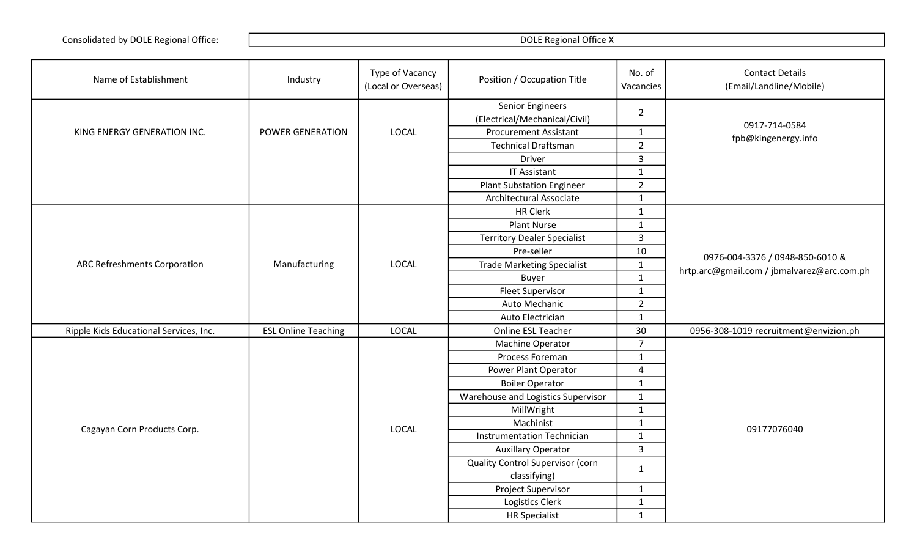| Name of Establishment                  | Industry                   | Type of Vacancy<br>(Local or Overseas) | Position / Occupation Title                              | No. of<br>Vacancies | <b>Contact Details</b><br>(Email/Landline/Mobile) |
|----------------------------------------|----------------------------|----------------------------------------|----------------------------------------------------------|---------------------|---------------------------------------------------|
|                                        |                            |                                        | <b>Senior Engineers</b><br>(Electrical/Mechanical/Civil) | $\overline{2}$      | 0917-714-0584                                     |
| KING ENERGY GENERATION INC.            | POWER GENERATION           | <b>LOCAL</b>                           | <b>Procurement Assistant</b>                             | $\mathbf{1}$        | fpb@kingenergy.info                               |
|                                        |                            |                                        | <b>Technical Draftsman</b>                               | $\overline{2}$      |                                                   |
|                                        |                            |                                        | <b>Driver</b>                                            | $\mathbf{3}$        |                                                   |
|                                        |                            |                                        | <b>IT Assistant</b>                                      | $\mathbf{1}$        |                                                   |
|                                        |                            |                                        | <b>Plant Substation Engineer</b>                         | $\overline{2}$      |                                                   |
|                                        |                            |                                        | Architectural Associate                                  | $\mathbf{1}$        |                                                   |
|                                        |                            |                                        | <b>HR Clerk</b>                                          | $\mathbf{1}$        |                                                   |
|                                        |                            |                                        | <b>Plant Nurse</b>                                       | $\mathbf{1}$        |                                                   |
|                                        |                            |                                        | <b>Territory Dealer Specialist</b>                       | $\overline{3}$      |                                                   |
|                                        |                            |                                        | Pre-seller                                               | 10                  |                                                   |
| ARC Refreshments Corporation           | Manufacturing              | <b>LOCAL</b>                           | <b>Trade Marketing Specialist</b>                        | $\mathbf{1}$        | 0976-004-3376 / 0948-850-6010 &                   |
|                                        |                            |                                        | <b>Buyer</b>                                             | $\mathbf 1$         | hrtp.arc@gmail.com / jbmalvarez@arc.com.ph        |
|                                        |                            |                                        | <b>Fleet Supervisor</b>                                  | $\mathbf{1}$        |                                                   |
|                                        |                            |                                        | Auto Mechanic                                            | $\overline{2}$      |                                                   |
|                                        |                            |                                        | Auto Electrician                                         | $\mathbf 1$         |                                                   |
| Ripple Kids Educational Services, Inc. | <b>ESL Online Teaching</b> | LOCAL                                  | Online ESL Teacher                                       | 30                  | 0956-308-1019 recruitment@envizion.ph             |
|                                        |                            |                                        | Machine Operator                                         | $\overline{7}$      |                                                   |
|                                        |                            |                                        | Process Foreman                                          | $\mathbf{1}$        |                                                   |
|                                        |                            |                                        | Power Plant Operator                                     | 4                   |                                                   |
|                                        |                            |                                        | <b>Boiler Operator</b>                                   | $\mathbf{1}$        |                                                   |
|                                        |                            |                                        | Warehouse and Logistics Supervisor                       | $\mathbf{1}$        |                                                   |
|                                        |                            |                                        | MillWright                                               | $\mathbf 1$         |                                                   |
|                                        |                            |                                        | Machinist                                                | $\mathbf{1}$        |                                                   |
| Cagayan Corn Products Corp.            |                            | <b>LOCAL</b>                           | <b>Instrumentation Technician</b>                        | $\mathbf{1}$        | 09177076040                                       |
|                                        |                            |                                        | <b>Auxillary Operator</b>                                | $\overline{3}$      |                                                   |
|                                        |                            |                                        | <b>Quality Control Supervisor (corn</b>                  |                     |                                                   |
|                                        |                            |                                        | classifying)                                             | $\mathbf{1}$        |                                                   |
|                                        |                            |                                        | Project Supervisor                                       | $\mathbf{1}$        |                                                   |
|                                        |                            |                                        | Logistics Clerk                                          | $\mathbf{1}$        |                                                   |
|                                        |                            |                                        | <b>HR Specialist</b>                                     | $\mathbf{1}$        |                                                   |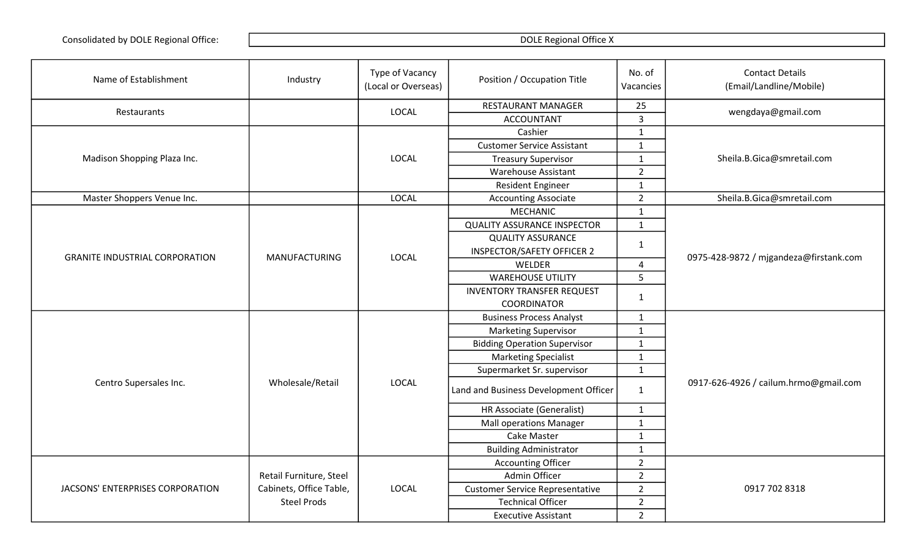| Name of Establishment                 | Industry                | Type of Vacancy<br>(Local or Overseas) | Position / Occupation Title            | No. of<br>Vacancies | <b>Contact Details</b><br>(Email/Landline/Mobile) |
|---------------------------------------|-------------------------|----------------------------------------|----------------------------------------|---------------------|---------------------------------------------------|
|                                       |                         | <b>LOCAL</b>                           | RESTAURANT MANAGER                     | 25                  | wengdaya@gmail.com                                |
| Restaurants                           |                         |                                        | <b>ACCOUNTANT</b>                      | $\overline{3}$      |                                                   |
|                                       |                         |                                        | Cashier                                | $\mathbf{1}$        |                                                   |
|                                       |                         |                                        | <b>Customer Service Assistant</b>      | $\mathbf{1}$        |                                                   |
| Madison Shopping Plaza Inc.           |                         | LOCAL                                  | <b>Treasury Supervisor</b>             | $\mathbf{1}$        | Sheila.B.Gica@smretail.com                        |
|                                       |                         |                                        | <b>Warehouse Assistant</b>             | $\overline{2}$      |                                                   |
|                                       |                         |                                        | Resident Engineer                      | $\mathbf{1}$        |                                                   |
| Master Shoppers Venue Inc.            |                         | LOCAL                                  | <b>Accounting Associate</b>            | $\overline{2}$      | Sheila.B.Gica@smretail.com                        |
|                                       |                         |                                        | <b>MECHANIC</b>                        | $\mathbf{1}$        |                                                   |
|                                       |                         |                                        | <b>QUALITY ASSURANCE INSPECTOR</b>     | $\mathbf{1}$        |                                                   |
|                                       |                         |                                        | <b>QUALITY ASSURANCE</b>               |                     |                                                   |
| <b>GRANITE INDUSTRIAL CORPORATION</b> | <b>MANUFACTURING</b>    | <b>LOCAL</b>                           | <b>INSPECTOR/SAFETY OFFICER 2</b>      | $\mathbf{1}$        | 0975-428-9872 / mjgandeza@firstank.com            |
|                                       |                         |                                        | WELDER                                 | 4                   |                                                   |
|                                       |                         |                                        | <b>WAREHOUSE UTILITY</b>               | 5                   |                                                   |
|                                       |                         |                                        | <b>INVENTORY TRANSFER REQUEST</b>      | 1                   |                                                   |
|                                       |                         |                                        | <b>COORDINATOR</b>                     |                     |                                                   |
|                                       |                         |                                        | <b>Business Process Analyst</b>        | $\mathbf{1}$        |                                                   |
|                                       |                         |                                        | <b>Marketing Supervisor</b>            | $\mathbf{1}$        |                                                   |
|                                       |                         |                                        | <b>Bidding Operation Supervisor</b>    | $\mathbf{1}$        |                                                   |
|                                       |                         |                                        | <b>Marketing Specialist</b>            | $\mathbf{1}$        |                                                   |
|                                       |                         |                                        | Supermarket Sr. supervisor             | $\mathbf 1$         |                                                   |
| Centro Supersales Inc.                | Wholesale/Retail        | <b>LOCAL</b>                           | Land and Business Development Officer  | $\mathbf{1}$        | 0917-626-4926 / cailum.hrmo@gmail.com             |
|                                       |                         |                                        | HR Associate (Generalist)              | $\mathbf{1}$        |                                                   |
|                                       |                         |                                        | <b>Mall operations Manager</b>         | $\mathbf 1$         |                                                   |
|                                       |                         |                                        | <b>Cake Master</b>                     | $\mathbf{1}$        |                                                   |
|                                       |                         |                                        | <b>Building Administrator</b>          | $\mathbf 1$         |                                                   |
|                                       |                         |                                        | <b>Accounting Officer</b>              | $\overline{2}$      |                                                   |
|                                       | Retail Furniture, Steel |                                        | Admin Officer                          | $\overline{2}$      |                                                   |
| JACSONS' ENTERPRISES CORPORATION      | Cabinets, Office Table, | <b>LOCAL</b>                           | <b>Customer Service Representative</b> | $\overline{2}$      | 0917 702 8318                                     |
|                                       | <b>Steel Prods</b>      |                                        | <b>Technical Officer</b>               | $\overline{2}$      |                                                   |
|                                       |                         |                                        | <b>Executive Assistant</b>             | $\overline{2}$      |                                                   |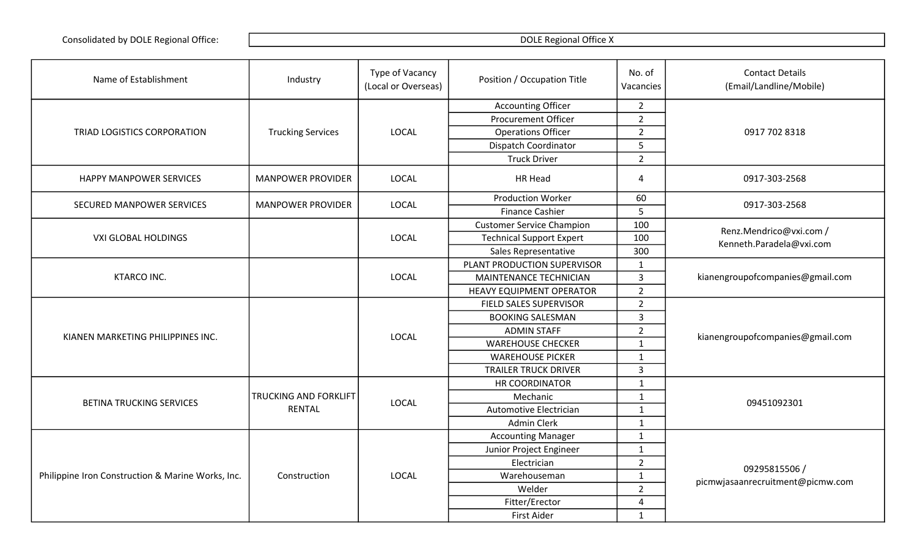| Name of Establishment                             | Industry                 | Type of Vacancy<br>(Local or Overseas) | Position / Occupation Title      | No. of<br>Vacancies | <b>Contact Details</b><br>(Email/Landline/Mobile) |
|---------------------------------------------------|--------------------------|----------------------------------------|----------------------------------|---------------------|---------------------------------------------------|
|                                                   |                          |                                        | <b>Accounting Officer</b>        | $2^{\circ}$         |                                                   |
|                                                   |                          |                                        | <b>Procurement Officer</b>       | $\overline{2}$      |                                                   |
| TRIAD LOGISTICS CORPORATION                       | <b>Trucking Services</b> | <b>LOCAL</b>                           | <b>Operations Officer</b>        | $\overline{2}$      | 0917 702 8318                                     |
|                                                   |                          |                                        | Dispatch Coordinator             | 5                   |                                                   |
|                                                   |                          |                                        | <b>Truck Driver</b>              | $\overline{2}$      |                                                   |
| HAPPY MANPOWER SERVICES                           | <b>MANPOWER PROVIDER</b> | <b>LOCAL</b>                           | <b>HR Head</b>                   | 4                   | 0917-303-2568                                     |
| SECURED MANPOWER SERVICES                         | <b>MANPOWER PROVIDER</b> | <b>LOCAL</b>                           | <b>Production Worker</b>         | 60                  | 0917-303-2568                                     |
|                                                   |                          |                                        | <b>Finance Cashier</b>           | 5                   |                                                   |
|                                                   |                          |                                        | <b>Customer Service Champion</b> | 100                 | Renz.Mendrico@vxi.com /                           |
| <b>VXI GLOBAL HOLDINGS</b>                        |                          | <b>LOCAL</b>                           | <b>Technical Support Expert</b>  | 100                 | Kenneth.Paradela@vxi.com                          |
|                                                   |                          |                                        | Sales Representative             | 300                 |                                                   |
|                                                   |                          | <b>LOCAL</b>                           | PLANT PRODUCTION SUPERVISOR      | $\mathbf{1}$        |                                                   |
| <b>KTARCO INC.</b>                                |                          |                                        | MAINTENANCE TECHNICIAN           | $\overline{3}$      | kianengroupofcompanies@gmail.com                  |
|                                                   |                          |                                        | <b>HEAVY EQUIPMENT OPERATOR</b>  | $\overline{2}$      |                                                   |
|                                                   |                          |                                        | FIELD SALES SUPERVISOR           | $\overline{2}$      | kianengroupofcompanies@gmail.com                  |
|                                                   |                          |                                        | <b>BOOKING SALESMAN</b>          | 3                   |                                                   |
| KIANEN MARKETING PHILIPPINES INC.                 |                          | <b>LOCAL</b>                           | <b>ADMIN STAFF</b>               | $\overline{2}$      |                                                   |
|                                                   |                          |                                        | <b>WAREHOUSE CHECKER</b>         | $\mathbf{1}$        |                                                   |
|                                                   |                          |                                        | <b>WAREHOUSE PICKER</b>          | $\mathbf{1}$        |                                                   |
|                                                   |                          |                                        | <b>TRAILER TRUCK DRIVER</b>      | $\overline{3}$      |                                                   |
|                                                   |                          |                                        | HR COORDINATOR                   | $\mathbf{1}$        |                                                   |
| <b>BETINA TRUCKING SERVICES</b>                   | TRUCKING AND FORKLIFT    | <b>LOCAL</b>                           | Mechanic                         | $\mathbf{1}$        | 09451092301                                       |
|                                                   | <b>RENTAL</b>            |                                        | Automotive Electrician           | $\mathbf{1}$        |                                                   |
|                                                   |                          |                                        | <b>Admin Clerk</b>               | $\mathbf 1$         |                                                   |
|                                                   |                          |                                        | <b>Accounting Manager</b>        | $\mathbf{1}$        |                                                   |
|                                                   |                          |                                        | Junior Project Engineer          | $\mathbf{1}$        |                                                   |
|                                                   |                          |                                        | Electrician                      | $\overline{2}$      | 09295815506/                                      |
| Philippine Iron Construction & Marine Works, Inc. | Construction             | <b>LOCAL</b>                           | Warehouseman                     | $\mathbf 1$         | picmwjasaanrecruitment@picmw.com                  |
|                                                   |                          |                                        | Welder                           | $\overline{2}$      |                                                   |
|                                                   |                          |                                        | Fitter/Erector                   | 4                   |                                                   |
|                                                   |                          |                                        | <b>First Aider</b>               | $\mathbf{1}$        |                                                   |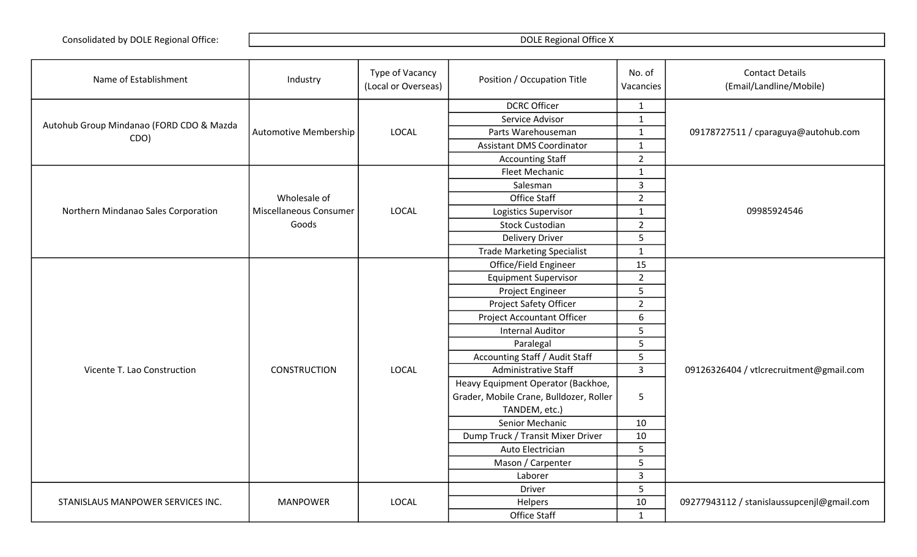| Name of Establishment                    | Industry                     | Type of Vacancy<br>(Local or Overseas) | Position / Occupation Title             | No. of<br>Vacancies | <b>Contact Details</b><br>(Email/Landline/Mobile) |
|------------------------------------------|------------------------------|----------------------------------------|-----------------------------------------|---------------------|---------------------------------------------------|
|                                          |                              |                                        | <b>DCRC Officer</b>                     | $\mathbf{1}$        |                                                   |
|                                          |                              |                                        | Service Advisor                         | $\mathbf{1}$        |                                                   |
| Autohub Group Mindanao (FORD CDO & Mazda | <b>Automotive Membership</b> | <b>LOCAL</b>                           | Parts Warehouseman                      | $\mathbf{1}$        | 09178727511 / cparaguya@autohub.com               |
| CDO)                                     |                              |                                        | <b>Assistant DMS Coordinator</b>        | $\mathbf{1}$        |                                                   |
|                                          |                              |                                        | <b>Accounting Staff</b>                 | $\overline{2}$      |                                                   |
|                                          |                              |                                        | Fleet Mechanic                          | $\mathbf{1}$        |                                                   |
|                                          |                              |                                        | Salesman                                | $\overline{3}$      |                                                   |
|                                          | Wholesale of                 |                                        | Office Staff                            | $\overline{2}$      |                                                   |
| Northern Mindanao Sales Corporation      | Miscellaneous Consumer       | LOCAL                                  | Logistics Supervisor                    | $\mathbf{1}$        | 09985924546                                       |
|                                          | Goods                        |                                        | <b>Stock Custodian</b>                  | $\overline{2}$      |                                                   |
|                                          |                              |                                        | <b>Delivery Driver</b>                  | 5                   |                                                   |
|                                          |                              |                                        | <b>Trade Marketing Specialist</b>       | $\mathbf{1}$        |                                                   |
|                                          |                              |                                        | Office/Field Engineer                   | 15                  |                                                   |
|                                          |                              |                                        | <b>Equipment Supervisor</b>             | $\overline{2}$      |                                                   |
|                                          |                              |                                        | Project Engineer                        | 5                   |                                                   |
|                                          |                              |                                        | Project Safety Officer                  | $\overline{2}$      |                                                   |
|                                          |                              |                                        | <b>Project Accountant Officer</b>       | 6                   |                                                   |
|                                          |                              |                                        | <b>Internal Auditor</b>                 | 5                   |                                                   |
|                                          |                              |                                        | Paralegal                               | 5                   |                                                   |
|                                          |                              |                                        | Accounting Staff / Audit Staff          | 5                   |                                                   |
| Vicente T. Lao Construction              | <b>CONSTRUCTION</b>          | LOCAL                                  | <b>Administrative Staff</b>             | $\overline{3}$      | 09126326404 / vtlcrecruitment@gmail.com           |
|                                          |                              |                                        | Heavy Equipment Operator (Backhoe,      |                     |                                                   |
|                                          |                              |                                        | Grader, Mobile Crane, Bulldozer, Roller | 5                   |                                                   |
|                                          |                              |                                        | TANDEM, etc.)                           |                     |                                                   |
|                                          |                              |                                        | Senior Mechanic                         | 10                  |                                                   |
|                                          |                              |                                        | Dump Truck / Transit Mixer Driver       | 10                  |                                                   |
|                                          |                              |                                        | Auto Electrician                        | 5                   |                                                   |
|                                          |                              |                                        | Mason / Carpenter                       | 5                   |                                                   |
|                                          |                              |                                        | Laborer                                 | $\overline{3}$      |                                                   |
|                                          |                              |                                        | <b>Driver</b>                           | 5                   |                                                   |
| STANISLAUS MANPOWER SERVICES INC.        | <b>MANPOWER</b>              | <b>LOCAL</b>                           | Helpers                                 | 10                  | 09277943112 / stanislaussupcenjl@gmail.com        |
|                                          |                              |                                        | Office Staff                            | $\mathbf{1}$        |                                                   |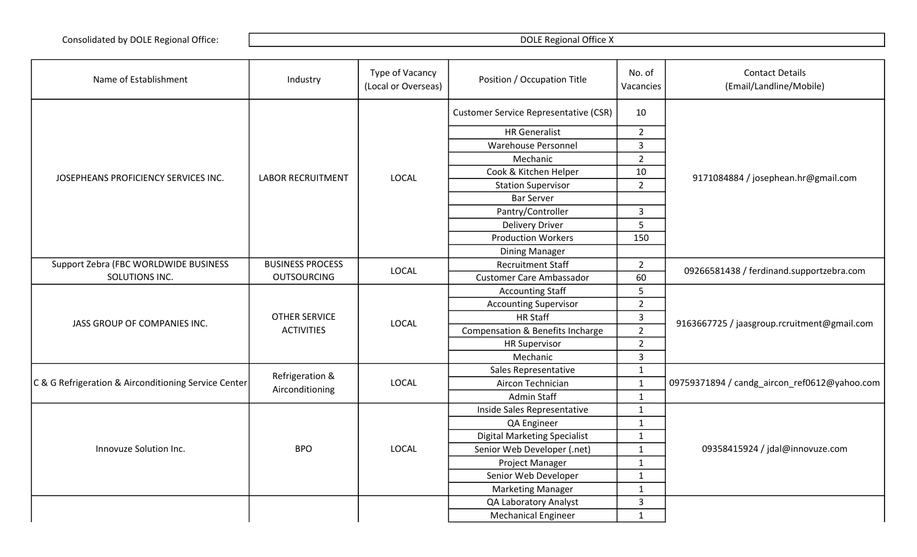| Name of Establishment                                | Industry                                  | Type of Vacancy<br>(Local or Overseas) | Position / Occupation Title                  | No. of<br>Vacancies | <b>Contact Details</b><br>(Email/Landline/Mobile) |
|------------------------------------------------------|-------------------------------------------|----------------------------------------|----------------------------------------------|---------------------|---------------------------------------------------|
|                                                      | <b>LABOR RECRUITMENT</b>                  | <b>LOCAL</b>                           | <b>Customer Service Representative (CSR)</b> | 10                  |                                                   |
|                                                      |                                           |                                        | <b>HR</b> Generalist                         | $\overline{2}$      |                                                   |
|                                                      |                                           |                                        | <b>Warehouse Personnel</b>                   | $\overline{3}$      |                                                   |
|                                                      |                                           |                                        | Mechanic                                     | $\overline{2}$      |                                                   |
|                                                      |                                           |                                        | Cook & Kitchen Helper                        | 10                  |                                                   |
| JOSEPHEANS PROFICIENCY SERVICES INC.                 |                                           |                                        | <b>Station Supervisor</b>                    | $\overline{2}$      | 9171084884 / josephean.hr@gmail.com               |
|                                                      |                                           |                                        | <b>Bar Server</b>                            |                     |                                                   |
|                                                      |                                           |                                        | Pantry/Controller                            | 3                   |                                                   |
|                                                      |                                           |                                        | <b>Delivery Driver</b>                       | 5                   |                                                   |
|                                                      |                                           |                                        | <b>Production Workers</b>                    | 150                 |                                                   |
|                                                      |                                           |                                        | <b>Dining Manager</b>                        |                     |                                                   |
| Support Zebra (FBC WORLDWIDE BUSINESS                | <b>BUSINESS PROCESS</b>                   | LOCAL                                  | <b>Recruitment Staff</b>                     | $\overline{2}$      |                                                   |
| SOLUTIONS INC.                                       | <b>OUTSOURCING</b>                        |                                        | <b>Customer Care Ambassador</b>              | 60                  | 09266581438 / ferdinand.supportzebra.com          |
|                                                      | <b>OTHER SERVICE</b><br><b>ACTIVITIES</b> | <b>LOCAL</b>                           | <b>Accounting Staff</b>                      | 5                   | 9163667725 / jaasgroup.rcruitment@gmail.com       |
|                                                      |                                           |                                        | <b>Accounting Supervisor</b>                 | $\overline{2}$      |                                                   |
| JASS GROUP OF COMPANIES INC.                         |                                           |                                        | <b>HR Staff</b>                              | $\mathbf{3}$        |                                                   |
|                                                      |                                           |                                        | Compensation & Benefits Incharge             | $2^{\circ}$         |                                                   |
|                                                      |                                           |                                        | <b>HR Supervisor</b>                         | $\overline{2}$      |                                                   |
|                                                      |                                           |                                        | Mechanic                                     | $\overline{3}$      |                                                   |
|                                                      | Refrigeration &<br>Airconditioning        | <b>LOCAL</b>                           | Sales Representative                         | $\mathbf 1$         | 09759371894 / candg_aircon_ref0612@yahoo.com      |
| C & G Refrigeration & Airconditioning Service Center |                                           |                                        | Aircon Technician                            | $\mathbf 1$         |                                                   |
|                                                      |                                           |                                        | Admin Staff                                  | $\mathbf{1}$        |                                                   |
| Innovuze Solution Inc.                               | <b>BPO</b>                                | <b>LOCAL</b>                           | Inside Sales Representative                  | $\mathbf{1}$        | 09358415924 / jdal@innovuze.com                   |
|                                                      |                                           |                                        | QA Engineer                                  | $1\,$               |                                                   |
|                                                      |                                           |                                        | <b>Digital Marketing Specialist</b>          | $\mathbf{1}$        |                                                   |
|                                                      |                                           |                                        | Senior Web Developer (.net)                  | $1\,$               |                                                   |
|                                                      |                                           |                                        | Project Manager                              | $\mathbf{1}$        |                                                   |
|                                                      |                                           |                                        | Senior Web Developer                         | $\mathbf 1$         |                                                   |
|                                                      |                                           |                                        | <b>Marketing Manager</b>                     | $\mathbf{1}$        |                                                   |
|                                                      |                                           |                                        | QA Laboratory Analyst                        | $\overline{3}$      |                                                   |
|                                                      |                                           |                                        | <b>Mechanical Engineer</b>                   | $\mathbf{1}$        |                                                   |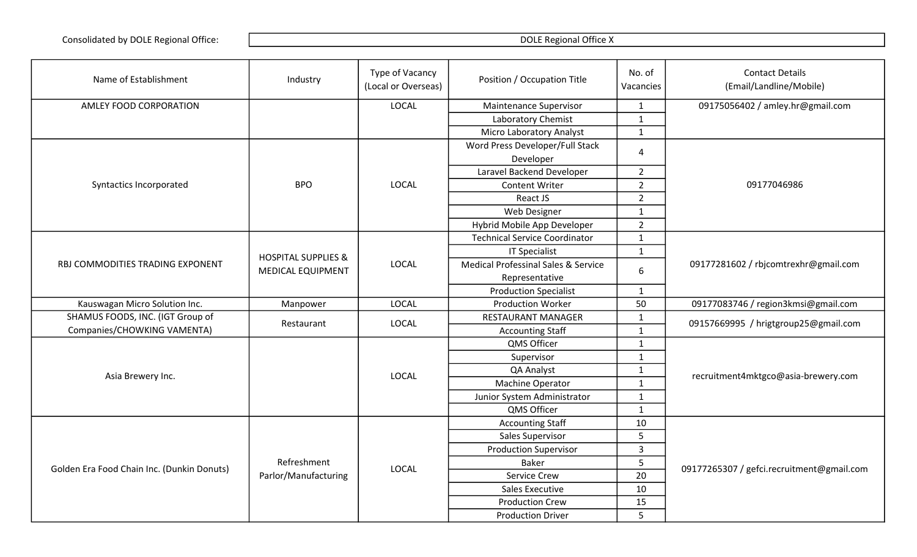| Name of Establishment                      | Industry                            | Type of Vacancy<br>(Local or Overseas) | Position / Occupation Title          | No. of<br>Vacancies | <b>Contact Details</b><br>(Email/Landline/Mobile) |
|--------------------------------------------|-------------------------------------|----------------------------------------|--------------------------------------|---------------------|---------------------------------------------------|
| AMLEY FOOD CORPORATION                     |                                     | <b>LOCAL</b>                           | Maintenance Supervisor               | $\mathbf{1}$        | 09175056402 / amley.hr@gmail.com                  |
|                                            |                                     |                                        | Laboratory Chemist                   | $\mathbf{1}$        |                                                   |
|                                            |                                     |                                        | <b>Micro Laboratory Analyst</b>      | $\mathbf{1}$        |                                                   |
|                                            |                                     |                                        | Word Press Developer/Full Stack      | 4                   |                                                   |
|                                            |                                     |                                        | Developer                            |                     |                                                   |
|                                            |                                     | <b>LOCAL</b>                           | Laravel Backend Developer            | $\overline{2}$      |                                                   |
| Syntactics Incorporated                    | <b>BPO</b>                          |                                        | <b>Content Writer</b>                | $\overline{2}$      | 09177046986                                       |
|                                            |                                     |                                        | React JS                             | $\overline{2}$      |                                                   |
|                                            |                                     |                                        | Web Designer                         | $\mathbf{1}$        |                                                   |
|                                            |                                     |                                        | Hybrid Mobile App Developer          | $\overline{2}$      |                                                   |
|                                            |                                     | <b>LOCAL</b>                           | <b>Technical Service Coordinator</b> | $\mathbf{1}$        |                                                   |
|                                            | <b>HOSPITAL SUPPLIES &amp;</b>      |                                        | <b>IT Specialist</b>                 | $\mathbf{1}$        |                                                   |
| RBJ COMMODITIES TRADING EXPONENT           | MEDICAL EQUIPMENT                   |                                        | Medical Professinal Sales & Service  | 6                   | 09177281602 / rbjcomtrexhr@gmail.com              |
|                                            |                                     |                                        | Representative                       |                     |                                                   |
|                                            |                                     |                                        | <b>Production Specialist</b>         | $\mathbf{1}$        |                                                   |
| Kauswagan Micro Solution Inc.              | Manpower                            | <b>LOCAL</b>                           | <b>Production Worker</b>             | 50                  | 09177083746 / region3kmsi@gmail.com               |
| SHAMUS FOODS, INC. (IGT Group of           | Restaurant                          | <b>LOCAL</b>                           | <b>RESTAURANT MANAGER</b>            | $\mathbf{1}$        | 09157669995 / hrigtgroup25@gmail.com              |
| Companies/CHOWKING VAMENTA)                |                                     |                                        | <b>Accounting Staff</b>              | $\mathbf{1}$        |                                                   |
|                                            |                                     | <b>LOCAL</b>                           | QMS Officer                          | $\mathbf{1}$        |                                                   |
| Asia Brewery Inc.                          |                                     |                                        | Supervisor                           | $\mathbf{1}$        |                                                   |
|                                            |                                     |                                        | QA Analyst                           | $\mathbf{1}$        | recruitment4mktgco@asia-brewery.com               |
|                                            |                                     |                                        | Machine Operator                     | $\mathbf 1$         |                                                   |
|                                            |                                     |                                        | Junior System Administrator          | $\mathbf{1}$        |                                                   |
|                                            |                                     |                                        | QMS Officer                          | $\mathbf{1}$        |                                                   |
| Golden Era Food Chain Inc. (Dunkin Donuts) | Refreshment<br>Parlor/Manufacturing | <b>LOCAL</b>                           | <b>Accounting Staff</b>              | $10\,$              |                                                   |
|                                            |                                     |                                        | Sales Supervisor                     | 5                   |                                                   |
|                                            |                                     |                                        | <b>Production Supervisor</b>         | $\overline{3}$      |                                                   |
|                                            |                                     |                                        | <b>Baker</b>                         | 5                   | 09177265307 / gefci.recruitment@gmail.com         |
|                                            |                                     |                                        | Service Crew                         | 20                  |                                                   |
|                                            |                                     |                                        | <b>Sales Executive</b>               | 10                  |                                                   |
|                                            |                                     |                                        | <b>Production Crew</b>               | 15                  |                                                   |
|                                            |                                     |                                        | <b>Production Driver</b>             | 5                   |                                                   |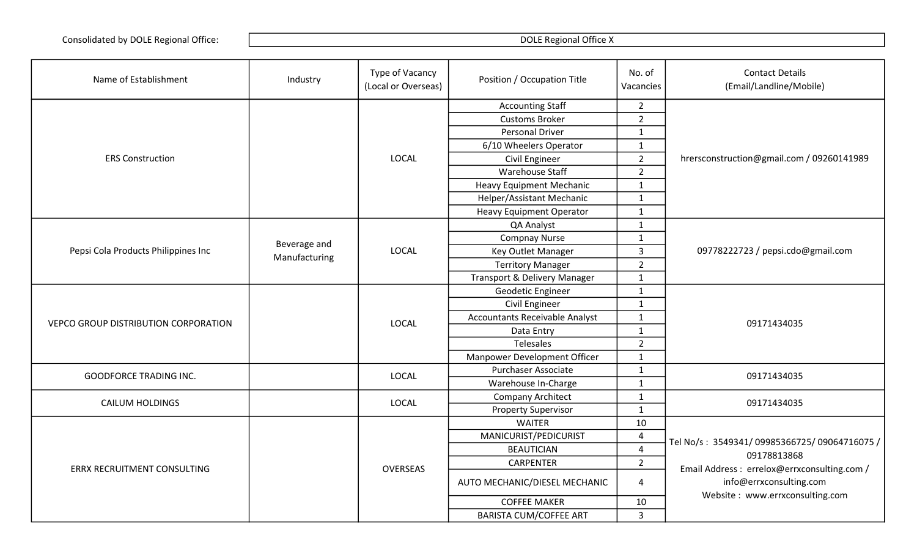| Name of Establishment                | Industry      | Type of Vacancy<br>(Local or Overseas) | Position / Occupation Title           | No. of<br>Vacancies | <b>Contact Details</b><br>(Email/Landline/Mobile)                                                         |
|--------------------------------------|---------------|----------------------------------------|---------------------------------------|---------------------|-----------------------------------------------------------------------------------------------------------|
| <b>ERS Construction</b>              |               | LOCAL                                  | <b>Accounting Staff</b>               | $\overline{2}$      |                                                                                                           |
|                                      |               |                                        | <b>Customs Broker</b>                 | $\overline{2}$      | hrersconstruction@gmail.com / 09260141989                                                                 |
|                                      |               |                                        | <b>Personal Driver</b>                | $\mathbf{1}$        |                                                                                                           |
|                                      |               |                                        | 6/10 Wheelers Operator                | $\mathbf{1}$        |                                                                                                           |
|                                      |               |                                        | Civil Engineer                        | $\overline{2}$      |                                                                                                           |
|                                      |               |                                        | <b>Warehouse Staff</b>                | $\overline{2}$      |                                                                                                           |
|                                      |               |                                        | <b>Heavy Equipment Mechanic</b>       | $\mathbf{1}$        |                                                                                                           |
|                                      |               |                                        | Helper/Assistant Mechanic             | $\mathbf{1}$        |                                                                                                           |
|                                      |               |                                        | <b>Heavy Equipment Operator</b>       | $\mathbf{1}$        |                                                                                                           |
|                                      |               |                                        | QA Analyst                            | $\mathbf{1}$        |                                                                                                           |
|                                      | Beverage and  |                                        | <b>Compnay Nurse</b>                  | $\mathbf{1}$        |                                                                                                           |
| Pepsi Cola Products Philippines Inc  | Manufacturing | LOCAL                                  | Key Outlet Manager                    | $\overline{3}$      | 09778222723 / pepsi.cdo@gmail.com                                                                         |
|                                      |               |                                        | <b>Territory Manager</b>              | $\overline{2}$      |                                                                                                           |
|                                      |               |                                        | Transport & Delivery Manager          | $\mathbf 1$         |                                                                                                           |
|                                      |               | LOCAL                                  | Geodetic Engineer                     | $\mathbf{1}$        | 09171434035                                                                                               |
|                                      |               |                                        | Civil Engineer                        | $\mathbf{1}$        |                                                                                                           |
| VEPCO GROUP DISTRIBUTION CORPORATION |               |                                        | <b>Accountants Receivable Analyst</b> | $\mathbf{1}$        |                                                                                                           |
|                                      |               |                                        | Data Entry                            | $\mathbf{1}$        |                                                                                                           |
|                                      |               |                                        | <b>Telesales</b>                      | $\overline{2}$      |                                                                                                           |
|                                      |               |                                        | Manpower Development Officer          | $\mathbf{1}$        |                                                                                                           |
|                                      |               | LOCAL                                  | <b>Purchaser Associate</b>            | $\mathbf{1}$        | 09171434035                                                                                               |
| <b>GOODFORCE TRADING INC.</b>        |               |                                        | Warehouse In-Charge                   | $\mathbf{1}$        |                                                                                                           |
| <b>CAILUM HOLDINGS</b>               |               | <b>LOCAL</b>                           | <b>Company Architect</b>              | $\mathbf{1}$        | 09171434035                                                                                               |
|                                      |               |                                        | <b>Property Supervisor</b>            | $\mathbf{1}$        |                                                                                                           |
| <b>ERRX RECRUITMENT CONSULTING</b>   |               |                                        | <b>WAITER</b>                         | 10                  | Tel No/s: 3549341/09985366725/09064716075/<br>09178813868<br>Email Address : errelox@errxconsulting.com / |
|                                      |               | <b>OVERSEAS</b>                        | MANICURIST/PEDICURIST                 | $\overline{4}$      |                                                                                                           |
|                                      |               |                                        | <b>BEAUTICIAN</b>                     | $\overline{4}$      |                                                                                                           |
|                                      |               |                                        | <b>CARPENTER</b>                      | $\overline{2}$      |                                                                                                           |
|                                      |               |                                        | AUTO MECHANIC/DIESEL MECHANIC         | 4                   | info@errxconsulting.com                                                                                   |
|                                      |               |                                        | <b>COFFEE MAKER</b>                   | 10                  | Website: www.errxconsulting.com                                                                           |
|                                      |               |                                        | BARISTA CUM/COFFEE ART                | $\overline{3}$      |                                                                                                           |